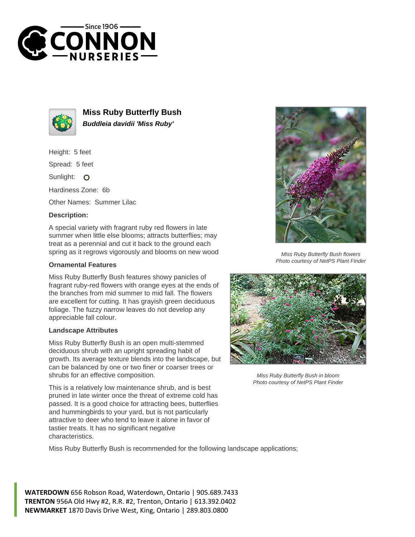



**Miss Ruby Butterfly Bush Buddleia davidii 'Miss Ruby'**

Height: 5 feet

Spread: 5 feet

Sunlight: O

Hardiness Zone: 6b

Other Names: Summer Lilac

## **Description:**

A special variety with fragrant ruby red flowers in late summer when little else blooms; attracts butterflies; may treat as a perennial and cut it back to the ground each spring as it regrows vigorously and blooms on new wood

## **Ornamental Features**

Miss Ruby Butterfly Bush features showy panicles of fragrant ruby-red flowers with orange eyes at the ends of the branches from mid summer to mid fall. The flowers are excellent for cutting. It has grayish green deciduous foliage. The fuzzy narrow leaves do not develop any appreciable fall colour.

## **Landscape Attributes**

Miss Ruby Butterfly Bush is an open multi-stemmed deciduous shrub with an upright spreading habit of growth. Its average texture blends into the landscape, but can be balanced by one or two finer or coarser trees or shrubs for an effective composition.

This is a relatively low maintenance shrub, and is best pruned in late winter once the threat of extreme cold has passed. It is a good choice for attracting bees, butterflies and hummingbirds to your yard, but is not particularly attractive to deer who tend to leave it alone in favor of tastier treats. It has no significant negative characteristics.

Miss Ruby Butterfly Bush is recommended for the following landscape applications;

**WATERDOWN** 656 Robson Road, Waterdown, Ontario | 905.689.7433 **TRENTON** 956A Old Hwy #2, R.R. #2, Trenton, Ontario | 613.392.0402 **NEWMARKET** 1870 Davis Drive West, King, Ontario | 289.803.0800



Miss Ruby Butterfly Bush flowers Photo courtesy of NetPS Plant Finder



Miss Ruby Butterfly Bush in bloom Photo courtesy of NetPS Plant Finder